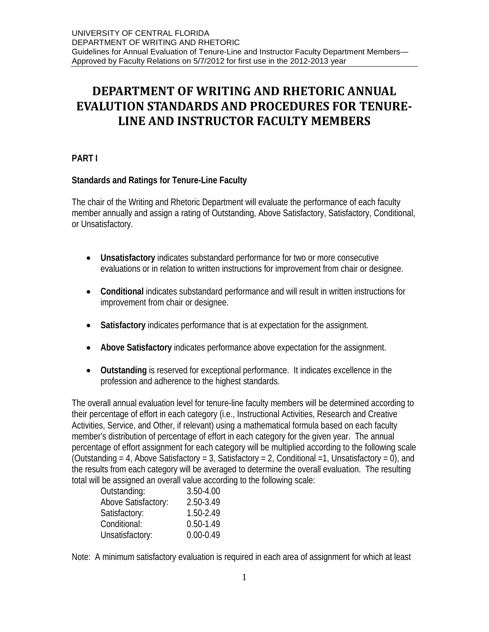# **DEPARTMENT OF WRITING AND RHETORIC ANNUAL EVALUTION STANDARDS AND PROCEDURES FOR TENURE-LINE AND INSTRUCTOR FACULTY MEMBERS**

# **PART I**

# **Standards and Ratings for Tenure-Line Faculty**

The chair of the Writing and Rhetoric Department will evaluate the performance of each faculty member annually and assign a rating of Outstanding, Above Satisfactory, Satisfactory, Conditional, or Unsatisfactory.

- **Unsatisfactory** indicates substandard performance for two or more consecutive evaluations or in relation to written instructions for improvement from chair or designee.
- **Conditional** indicates substandard performance and will result in written instructions for improvement from chair or designee.
- **Satisfactory** indicates performance that is at expectation for the assignment.
- **Above Satisfactory** indicates performance above expectation for the assignment.
- **Outstanding** is reserved for exceptional performance. It indicates excellence in the profession and adherence to the highest standards.

The overall annual evaluation level for tenure-line faculty members will be determined according to their percentage of effort in each category (i.e., Instructional Activities, Research and Creative Activities, Service, and Other, if relevant) using a mathematical formula based on each faculty member's distribution of percentage of effort in each category for the given year. The annual percentage of effort assignment for each category will be multiplied according to the following scale (Outstanding = 4, Above Satisfactory = 3, Satisfactory = 2, Conditional = 1, Unsatisfactory = 0), and the results from each category will be averaged to determine the overall evaluation. The resulting total will be assigned an overall value according to the following scale:

| 3.50-4.00     |
|---------------|
| 2.50-3.49     |
| 1.50-2.49     |
| $0.50 - 1.49$ |
| $0.00 - 0.49$ |
|               |

Note: A minimum satisfactory evaluation is required in each area of assignment for which at least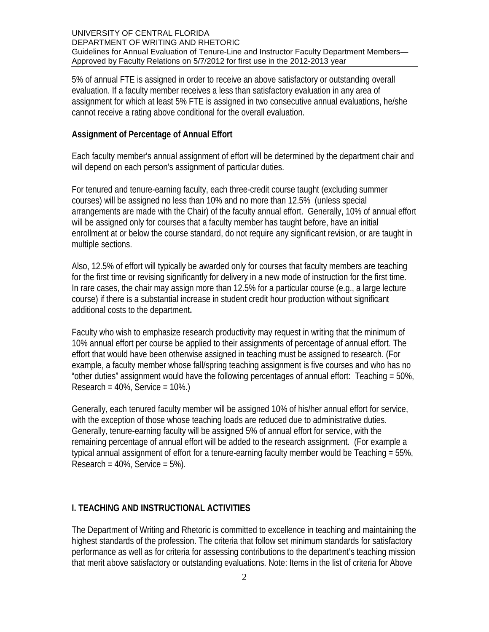5% of annual FTE is assigned in order to receive an above satisfactory or outstanding overall evaluation. If a faculty member receives a less than satisfactory evaluation in any area of assignment for which at least 5% FTE is assigned in two consecutive annual evaluations, he/she cannot receive a rating above conditional for the overall evaluation.

### **Assignment of Percentage of Annual Effort**

Each faculty member's annual assignment of effort will be determined by the department chair and will depend on each person's assignment of particular duties.

For tenured and tenure-earning faculty, each three-credit course taught (excluding summer courses) will be assigned no less than 10% and no more than 12.5% (unless special arrangements are made with the Chair) of the faculty annual effort. Generally, 10% of annual effort will be assigned only for courses that a faculty member has taught before, have an initial enrollment at or below the course standard, do not require any significant revision, or are taught in multiple sections.

Also, 12.5% of effort will typically be awarded only for courses that faculty members are teaching for the first time or revising significantly for delivery in a new mode of instruction for the first time. In rare cases, the chair may assign more than 12.5% for a particular course (e.g., a large lecture course) if there is a substantial increase in student credit hour production without significant additional costs to the department**.**

Faculty who wish to emphasize research productivity may request in writing that the minimum of 10% annual effort per course be applied to their assignments of percentage of annual effort. The effort that would have been otherwise assigned in teaching must be assigned to research. (For example, a faculty member whose fall/spring teaching assignment is five courses and who has no "other duties" assignment would have the following percentages of annual effort: Teaching = 50%,  $Research = 40\%$ , Service =  $10\%$ .

Generally, each tenured faculty member will be assigned 10% of his/her annual effort for service, with the exception of those whose teaching loads are reduced due to administrative duties. Generally, tenure-earning faculty will be assigned 5% of annual effort for service, with the remaining percentage of annual effort will be added to the research assignment. (For example a typical annual assignment of effort for a tenure-earning faculty member would be Teaching = 55%, Research =  $40\%$ , Service =  $5\%$ ).

# **I. TEACHING AND INSTRUCTIONAL ACTIVITIES**

The Department of Writing and Rhetoric is committed to excellence in teaching and maintaining the highest standards of the profession. The criteria that follow set minimum standards for satisfactory performance as well as for criteria for assessing contributions to the department's teaching mission that merit above satisfactory or outstanding evaluations. Note: Items in the list of criteria for Above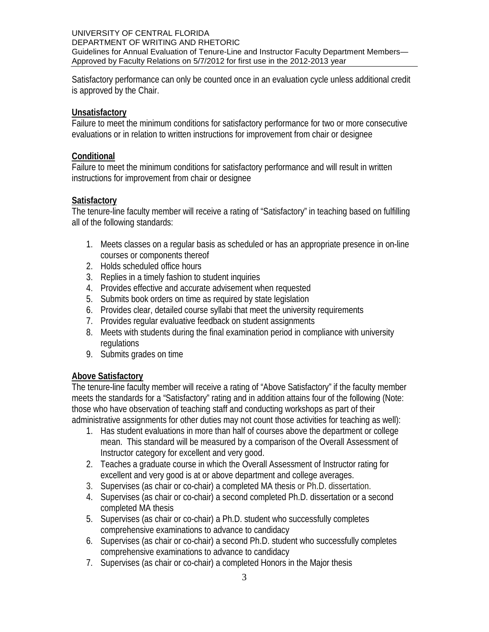Satisfactory performance can only be counted once in an evaluation cycle unless additional credit is approved by the Chair.

### **Unsatisfactory**

Failure to meet the minimum conditions for satisfactory performance for two or more consecutive evaluations or in relation to written instructions for improvement from chair or designee

### **Conditional**

Failure to meet the minimum conditions for satisfactory performance and will result in written instructions for improvement from chair or designee

# **Satisfactory**

The tenure-line faculty member will receive a rating of "Satisfactory" in teaching based on fulfilling all of the following standards:

- 1. Meets classes on a regular basis as scheduled or has an appropriate presence in on-line courses or components thereof
- 2. Holds scheduled office hours
- 3. Replies in a timely fashion to student inquiries
- 4. Provides effective and accurate advisement when requested
- 5. Submits book orders on time as required by state legislation
- 6. Provides clear, detailed course syllabi that meet the university requirements
- 7. Provides regular evaluative feedback on student assignments
- 8. Meets with students during the final examination period in compliance with university regulations
- 9. Submits grades on time

# **Above Satisfactory**

The tenure-line faculty member will receive a rating of "Above Satisfactory" if the faculty member meets the standards for a "Satisfactory" rating and in addition attains four of the following (Note: those who have observation of teaching staff and conducting workshops as part of their administrative assignments for other duties may not count those activities for teaching as well):

- 1. Has student evaluations in more than half of courses above the department or college mean. This standard will be measured by a comparison of the Overall Assessment of Instructor category for excellent and very good.
- 2. Teaches a graduate course in which the Overall Assessment of Instructor rating for excellent and very good is at or above department and college averages.
- 3. Supervises (as chair or co-chair) a completed MA thesis or Ph.D. dissertation.
- 4. Supervises (as chair or co-chair) a second completed Ph.D. dissertation or a second completed MA thesis
- 5. Supervises (as chair or co-chair) a Ph.D. student who successfully completes comprehensive examinations to advance to candidacy
- 6. Supervises (as chair or co-chair) a second Ph.D. student who successfully completes comprehensive examinations to advance to candidacy
- 7. Supervises (as chair or co-chair) a completed Honors in the Major thesis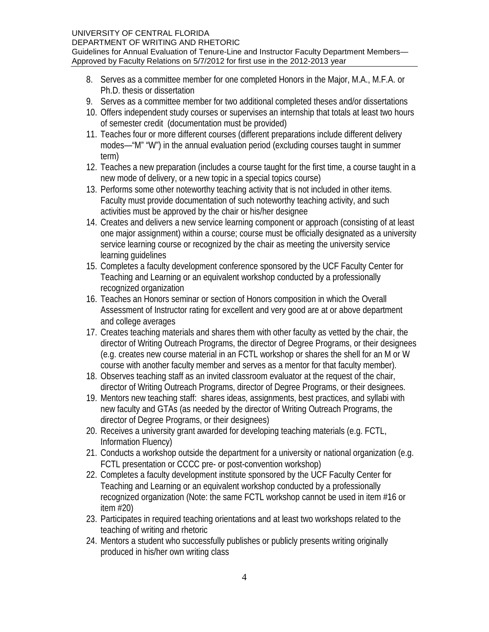- 8. Serves as a committee member for one completed Honors in the Major, M.A., M.F.A. or Ph.D. thesis or dissertation
- 9. Serves as a committee member for two additional completed theses and/or dissertations
- 10. Offers independent study courses or supervises an internship that totals at least two hours of semester credit (documentation must be provided)
- 11. Teaches four or more different courses (different preparations include different delivery modes—"M" "W") in the annual evaluation period (excluding courses taught in summer term)
- 12. Teaches a new preparation (includes a course taught for the first time, a course taught in a new mode of delivery, or a new topic in a special topics course)
- 13. Performs some other noteworthy teaching activity that is not included in other items. Faculty must provide documentation of such noteworthy teaching activity, and such activities must be approved by the chair or his/her designee
- 14. Creates and delivers a new service learning component or approach (consisting of at least one major assignment) within a course; course must be officially designated as a university service learning course or recognized by the chair as meeting the university service learning guidelines
- 15. Completes a faculty development conference sponsored by the UCF Faculty Center for Teaching and Learning or an equivalent workshop conducted by a professionally recognized organization
- 16. Teaches an Honors seminar or section of Honors composition in which the Overall Assessment of Instructor rating for excellent and very good are at or above department and college averages
- 17. Creates teaching materials and shares them with other faculty as vetted by the chair, the director of Writing Outreach Programs, the director of Degree Programs, or their designees (e.g. creates new course material in an FCTL workshop or shares the shell for an M or W course with another faculty member and serves as a mentor for that faculty member).
- 18. Observes teaching staff as an invited classroom evaluator at the request of the chair, director of Writing Outreach Programs, director of Degree Programs, or their designees.
- 19. Mentors new teaching staff: shares ideas, assignments, best practices, and syllabi with new faculty and GTAs (as needed by the director of Writing Outreach Programs, the director of Degree Programs, or their designees)
- 20. Receives a university grant awarded for developing teaching materials (e.g. FCTL, Information Fluency)
- 21. Conducts a workshop outside the department for a university or national organization (e.g. FCTL presentation or CCCC pre- or post-convention workshop)
- 22. Completes a faculty development institute sponsored by the UCF Faculty Center for Teaching and Learning or an equivalent workshop conducted by a professionally recognized organization (Note: the same FCTL workshop cannot be used in item #16 or item #20)
- 23. Participates in required teaching orientations and at least two workshops related to the teaching of writing and rhetoric
- 24. Mentors a student who successfully publishes or publicly presents writing originally produced in his/her own writing class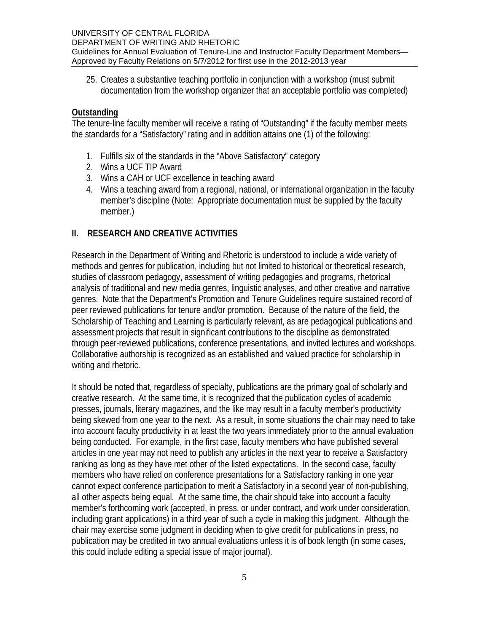25. Creates a substantive teaching portfolio in conjunction with a workshop (must submit documentation from the workshop organizer that an acceptable portfolio was completed)

# **Outstanding**

The tenure-line faculty member will receive a rating of "Outstanding" if the faculty member meets the standards for a "Satisfactory" rating and in addition attains one (1) of the following:

- 1. Fulfills six of the standards in the "Above Satisfactory" category
- 2. Wins a UCF TIP Award
- 3. Wins a CAH or UCF excellence in teaching award
- 4. Wins a teaching award from a regional, national, or international organization in the faculty member's discipline (Note: Appropriate documentation must be supplied by the faculty member.)

# **II. RESEARCH AND CREATIVE ACTIVITIES**

Research in the Department of Writing and Rhetoric is understood to include a wide variety of methods and genres for publication, including but not limited to historical or theoretical research, studies of classroom pedagogy, assessment of writing pedagogies and programs, rhetorical analysis of traditional and new media genres, linguistic analyses, and other creative and narrative genres. Note that the Department's Promotion and Tenure Guidelines require sustained record of peer reviewed publications for tenure and/or promotion. Because of the nature of the field, the Scholarship of Teaching and Learning is particularly relevant, as are pedagogical publications and assessment projects that result in significant contributions to the discipline as demonstrated through peer-reviewed publications, conference presentations, and invited lectures and workshops. Collaborative authorship is recognized as an established and valued practice for scholarship in writing and rhetoric.

It should be noted that, regardless of specialty, publications are the primary goal of scholarly and creative research. At the same time, it is recognized that the publication cycles of academic presses, journals, literary magazines, and the like may result in a faculty member's productivity being skewed from one year to the next. As a result, in some situations the chair may need to take into account faculty productivity in at least the two years immediately prior to the annual evaluation being conducted. For example, in the first case, faculty members who have published several articles in one year may not need to publish any articles in the next year to receive a Satisfactory ranking as long as they have met other of the listed expectations. In the second case, faculty members who have relied on conference presentations for a Satisfactory ranking in one year cannot expect conference participation to merit a Satisfactory in a second year of non-publishing, all other aspects being equal. At the same time, the chair should take into account a faculty member's forthcoming work (accepted, in press, or under contract, and work under consideration, including grant applications) in a third year of such a cycle in making this judgment. Although the chair may exercise some judgment in deciding when to give credit for publications in press, no publication may be credited in two annual evaluations unless it is of book length (in some cases, this could include editing a special issue of major journal).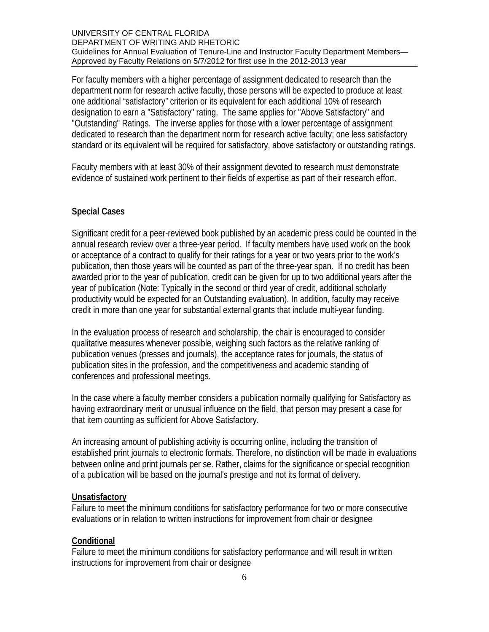For faculty members with a higher percentage of assignment dedicated to research than the department norm for research active faculty, those persons will be expected to produce at least one additional "satisfactory" criterion or its equivalent for each additional 10% of research designation to earn a "Satisfactory" rating. The same applies for "Above Satisfactory" and "Outstanding" Ratings. The inverse applies for those with a lower percentage of assignment dedicated to research than the department norm for research active faculty; one less satisfactory standard or its equivalent will be required for satisfactory, above satisfactory or outstanding ratings.

Faculty members with at least 30% of their assignment devoted to research must demonstrate evidence of sustained work pertinent to their fields of expertise as part of their research effort.

### **Special Cases**

Significant credit for a peer-reviewed book published by an academic press could be counted in the annual research review over a three-year period. If faculty members have used work on the book or acceptance of a contract to qualify for their ratings for a year or two years prior to the work's publication, then those years will be counted as part of the three-year span. If no credit has been awarded prior to the year of publication, credit can be given for up to two additional years after the year of publication (Note: Typically in the second or third year of credit, additional scholarly productivity would be expected for an Outstanding evaluation). In addition, faculty may receive credit in more than one year for substantial external grants that include multi-year funding.

In the evaluation process of research and scholarship, the chair is encouraged to consider qualitative measures whenever possible, weighing such factors as the relative ranking of publication venues (presses and journals), the acceptance rates for journals, the status of publication sites in the profession, and the competitiveness and academic standing of conferences and professional meetings.

In the case where a faculty member considers a publication normally qualifying for Satisfactory as having extraordinary merit or unusual influence on the field, that person may present a case for that item counting as sufficient for Above Satisfactory.

An increasing amount of publishing activity is occurring online, including the transition of established print journals to electronic formats. Therefore, no distinction will be made in evaluations between online and print journals per se. Rather, claims for the significance or special recognition of a publication will be based on the journal's prestige and not its format of delivery.

### **Unsatisfactory**

Failure to meet the minimum conditions for satisfactory performance for two or more consecutive evaluations or in relation to written instructions for improvement from chair or designee

# **Conditional**

Failure to meet the minimum conditions for satisfactory performance and will result in written instructions for improvement from chair or designee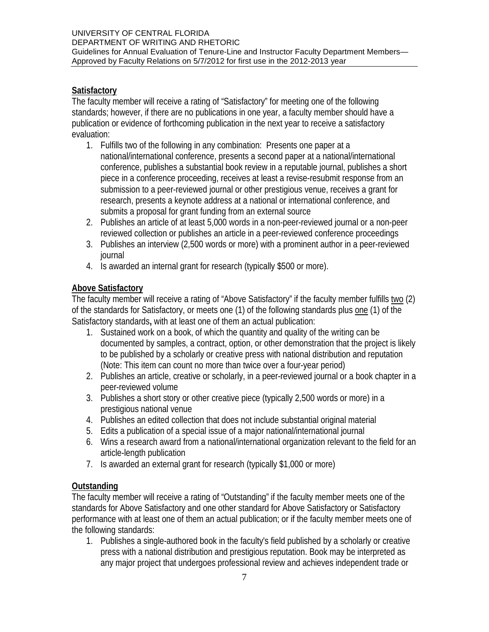# **Satisfactory**

The faculty member will receive a rating of "Satisfactory" for meeting one of the following standards; however, if there are no publications in one year, a faculty member should have a publication or evidence of forthcoming publication in the next year to receive a satisfactory evaluation:

- 1. Fulfills two of the following in any combination: Presents one paper at a national/international conference, presents a second paper at a national/international conference, publishes a substantial book review in a reputable journal, publishes a short piece in a conference proceeding, receives at least a revise-resubmit response from an submission to a peer-reviewed journal or other prestigious venue, receives a grant for research, presents a keynote address at a national or international conference, and submits a proposal for grant funding from an external source
- 2. Publishes an article of at least 5,000 words in a non-peer-reviewed journal or a non-peer reviewed collection or publishes an article in a peer-reviewed conference proceedings
- 3. Publishes an interview (2,500 words or more) with a prominent author in a peer-reviewed journal
- 4. Is awarded an internal grant for research (typically \$500 or more).

# **Above Satisfactory**

The faculty member will receive a rating of "Above Satisfactory" if the faculty member fulfills two (2) of the standards for Satisfactory, or meets one (1) of the following standards plus one (1) of the Satisfactory standards**,** with at least one of them an actual publication:

- 1. Sustained work on a book, of which the quantity and quality of the writing can be documented by samples, a contract, option, or other demonstration that the project is likely to be published by a scholarly or creative press with national distribution and reputation (Note: This item can count no more than twice over a four-year period)
- 2. Publishes an article, creative or scholarly, in a peer-reviewed journal or a book chapter in a peer-reviewed volume
- 3. Publishes a short story or other creative piece (typically 2,500 words or more) in a prestigious national venue
- 4. Publishes an edited collection that does not include substantial original material
- 5. Edits a publication of a special issue of a major national/international journal
- 6. Wins a research award from a national/international organization relevant to the field for an article-length publication
- 7. Is awarded an external grant for research (typically \$1,000 or more)

# **Outstanding**

The faculty member will receive a rating of "Outstanding" if the faculty member meets one of the standards for Above Satisfactory and one other standard for Above Satisfactory or Satisfactory performance with at least one of them an actual publication; or if the faculty member meets one of the following standards:

1. Publishes a single-authored book in the faculty's field published by a scholarly or creative press with a national distribution and prestigious reputation. Book may be interpreted as any major project that undergoes professional review and achieves independent trade or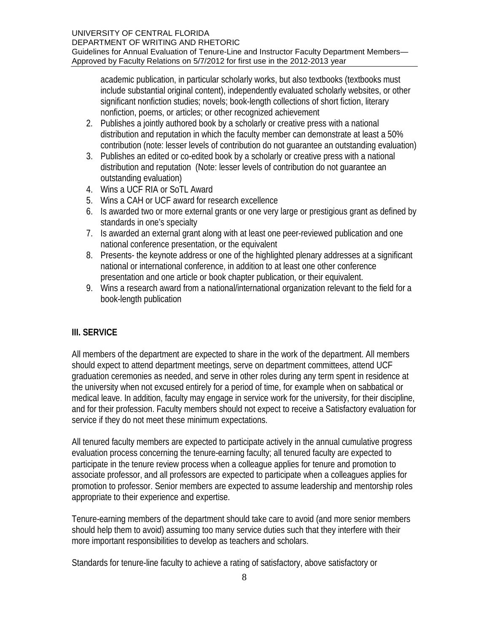academic publication, in particular scholarly works, but also textbooks (textbooks must include substantial original content), independently evaluated scholarly websites, or other significant nonfiction studies; novels; book-length collections of short fiction, literary nonfiction, poems, or articles; or other recognized achievement

- 2. Publishes a jointly authored book by a scholarly or creative press with a national distribution and reputation in which the faculty member can demonstrate at least a 50% contribution (note: lesser levels of contribution do not guarantee an outstanding evaluation)
- 3. Publishes an edited or co-edited book by a scholarly or creative press with a national distribution and reputation (Note: lesser levels of contribution do not guarantee an outstanding evaluation)
- 4. Wins a UCF RIA or SoTL Award
- 5. Wins a CAH or UCF award for research excellence
- 6. Is awarded two or more external grants or one very large or prestigious grant as defined by standards in one's specialty
- 7. Is awarded an external grant along with at least one peer-reviewed publication and one national conference presentation, or the equivalent
- 8. Presents- the keynote address or one of the highlighted plenary addresses at a significant national or international conference, in addition to at least one other conference presentation and one article or book chapter publication, or their equivalent.
- 9. Wins a research award from a national/international organization relevant to the field for a book-length publication

# **III. SERVICE**

All members of the department are expected to share in the work of the department. All members should expect to attend department meetings, serve on department committees, attend UCF graduation ceremonies as needed, and serve in other roles during any term spent in residence at the university when not excused entirely for a period of time, for example when on sabbatical or medical leave. In addition, faculty may engage in service work for the university, for their discipline, and for their profession. Faculty members should not expect to receive a Satisfactory evaluation for service if they do not meet these minimum expectations.

All tenured faculty members are expected to participate actively in the annual cumulative progress evaluation process concerning the tenure-earning faculty; all tenured faculty are expected to participate in the tenure review process when a colleague applies for tenure and promotion to associate professor, and all professors are expected to participate when a colleagues applies for promotion to professor. Senior members are expected to assume leadership and mentorship roles appropriate to their experience and expertise.

Tenure-earning members of the department should take care to avoid (and more senior members should help them to avoid) assuming too many service duties such that they interfere with their more important responsibilities to develop as teachers and scholars.

Standards for tenure-line faculty to achieve a rating of satisfactory, above satisfactory or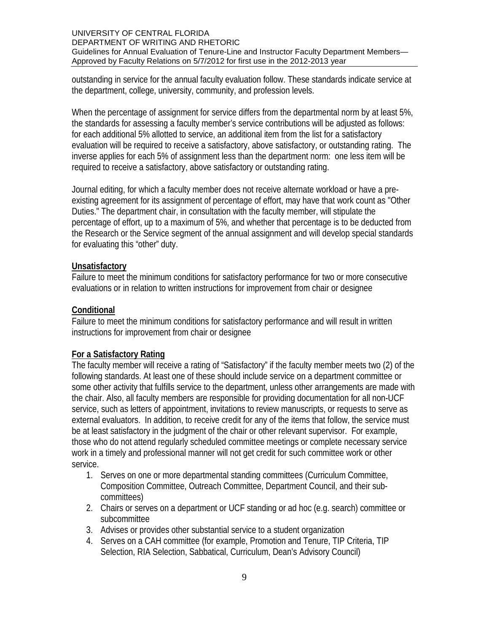outstanding in service for the annual faculty evaluation follow. These standards indicate service at the department, college, university, community, and profession levels.

When the percentage of assignment for service differs from the departmental norm by at least 5%, the standards for assessing a faculty member's service contributions will be adjusted as follows: for each additional 5% allotted to service, an additional item from the list for a satisfactory evaluation will be required to receive a satisfactory, above satisfactory, or outstanding rating. The inverse applies for each 5% of assignment less than the department norm: one less item will be required to receive a satisfactory, above satisfactory or outstanding rating.

Journal editing, for which a faculty member does not receive alternate workload or have a preexisting agreement for its assignment of percentage of effort, may have that work count as "Other Duties." The department chair, in consultation with the faculty member, will stipulate the percentage of effort, up to a maximum of 5%, and whether that percentage is to be deducted from the Research or the Service segment of the annual assignment and will develop special standards for evaluating this "other" duty.

### **Unsatisfactory**

Failure to meet the minimum conditions for satisfactory performance for two or more consecutive evaluations or in relation to written instructions for improvement from chair or designee

### **Conditional**

Failure to meet the minimum conditions for satisfactory performance and will result in written instructions for improvement from chair or designee

### **For a Satisfactory Rating**

The faculty member will receive a rating of "Satisfactory" if the faculty member meets two (2) of the following standards. At least one of these should include service on a department committee or some other activity that fulfills service to the department, unless other arrangements are made with the chair. Also, all faculty members are responsible for providing documentation for all non-UCF service, such as letters of appointment, invitations to review manuscripts, or requests to serve as external evaluators. In addition, to receive credit for any of the items that follow, the service must be at least satisfactory in the judgment of the chair or other relevant supervisor. For example, those who do not attend regularly scheduled committee meetings or complete necessary service work in a timely and professional manner will not get credit for such committee work or other service.

- 1. Serves on one or more departmental standing committees (Curriculum Committee, Composition Committee, Outreach Committee, Department Council, and their subcommittees)
- 2. Chairs or serves on a department or UCF standing or ad hoc (e.g. search) committee or subcommittee
- 3. Advises or provides other substantial service to a student organization
- 4. Serves on a CAH committee (for example, Promotion and Tenure, TIP Criteria, TIP Selection, RIA Selection, Sabbatical, Curriculum, Dean's Advisory Council)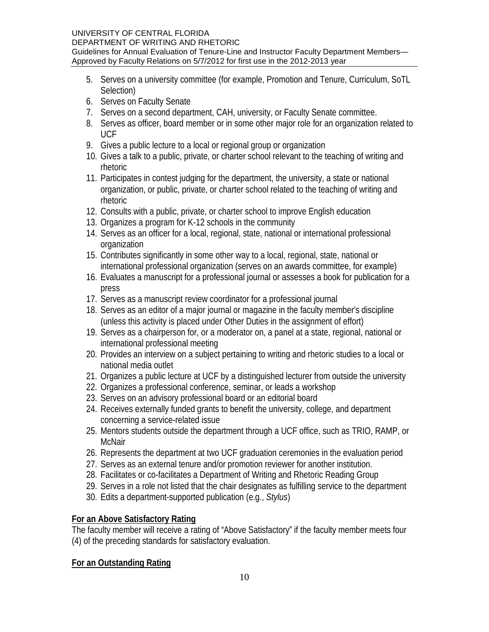### UNIVERSITY OF CENTRAL FLORIDA

DEPARTMENT OF WRITING AND RHETORIC Guidelines for Annual Evaluation of Tenure-Line and Instructor Faculty Department Members— Approved by Faculty Relations on 5/7/2012 for first use in the 2012-2013 year

- 5. Serves on a university committee (for example, Promotion and Tenure, Curriculum, SoTL Selection)
- 6. Serves on Faculty Senate
- 7. Serves on a second department, CAH, university, or Faculty Senate committee.
- 8. Serves as officer, board member or in some other major role for an organization related to UCF
- 9. Gives a public lecture to a local or regional group or organization
- 10. Gives a talk to a public, private, or charter school relevant to the teaching of writing and rhetoric
- 11. Participates in contest judging for the department, the university, a state or national organization, or public, private, or charter school related to the teaching of writing and rhetoric
- 12. Consults with a public, private, or charter school to improve English education
- 13. Organizes a program for K-12 schools in the community
- 14. Serves as an officer for a local, regional, state, national or international professional organization
- 15. Contributes significantly in some other way to a local, regional, state, national or international professional organization (serves on an awards committee, for example)
- 16. Evaluates a manuscript for a professional journal or assesses a book for publication for a press
- 17. Serves as a manuscript review coordinator for a professional journal
- 18. Serves as an editor of a major journal or magazine in the faculty member's discipline (unless this activity is placed under Other Duties in the assignment of effort)
- 19. Serves as a chairperson for, or a moderator on, a panel at a state, regional, national or international professional meeting
- 20. Provides an interview on a subject pertaining to writing and rhetoric studies to a local or national media outlet
- 21. Organizes a public lecture at UCF by a distinguished lecturer from outside the university
- 22. Organizes a professional conference, seminar, or leads a workshop
- 23. Serves on an advisory professional board or an editorial board
- 24. Receives externally funded grants to benefit the university, college, and department concerning a service-related issue
- 25. Mentors students outside the department through a UCF office, such as TRIO, RAMP, or McNair
- 26. Represents the department at two UCF graduation ceremonies in the evaluation period
- 27. Serves as an external tenure and/or promotion reviewer for another institution.
- 28. Facilitates or co-facilitates a Department of Writing and Rhetoric Reading Group
- 29. Serves in a role not listed that the chair designates as fulfilling service to the department
- 30. Edits a department-supported publication (e.g., *Stylus*)

# **For an Above Satisfactory Rating**

The faculty member will receive a rating of "Above Satisfactory" if the faculty member meets four (4) of the preceding standards for satisfactory evaluation.

# **For an Outstanding Rating**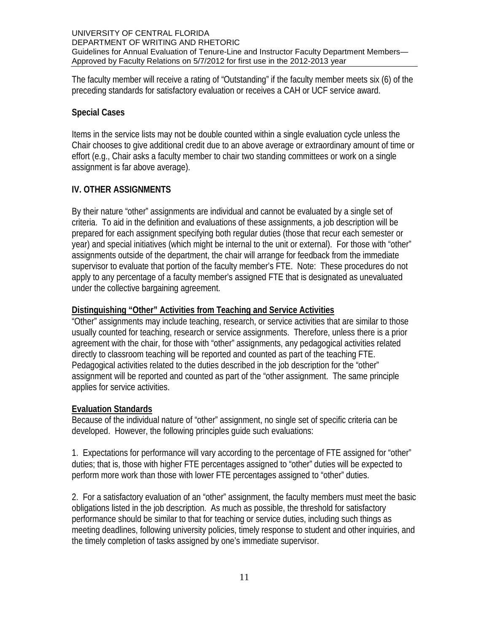The faculty member will receive a rating of "Outstanding" if the faculty member meets six (6) of the preceding standards for satisfactory evaluation or receives a CAH or UCF service award.

# **Special Cases**

Items in the service lists may not be double counted within a single evaluation cycle unless the Chair chooses to give additional credit due to an above average or extraordinary amount of time or effort (e.g., Chair asks a faculty member to chair two standing committees or work on a single assignment is far above average).

# **IV. OTHER ASSIGNMENTS**

By their nature "other" assignments are individual and cannot be evaluated by a single set of criteria. To aid in the definition and evaluations of these assignments, a job description will be prepared for each assignment specifying both regular duties (those that recur each semester or year) and special initiatives (which might be internal to the unit or external). For those with "other" assignments outside of the department, the chair will arrange for feedback from the immediate supervisor to evaluate that portion of the faculty member's FTE. Note: These procedures do not apply to any percentage of a faculty member's assigned FTE that is designated as unevaluated under the collective bargaining agreement.

### **Distinguishing "Other" Activities from Teaching and Service Activities**

"Other" assignments may include teaching, research, or service activities that are similar to those usually counted for teaching, research or service assignments. Therefore, unless there is a prior agreement with the chair, for those with "other" assignments, any pedagogical activities related directly to classroom teaching will be reported and counted as part of the teaching FTE. Pedagogical activities related to the duties described in the job description for the "other" assignment will be reported and counted as part of the "other assignment. The same principle applies for service activities.

# **Evaluation Standards**

Because of the individual nature of "other" assignment, no single set of specific criteria can be developed. However, the following principles guide such evaluations:

1. Expectations for performance will vary according to the percentage of FTE assigned for "other" duties; that is, those with higher FTE percentages assigned to "other" duties will be expected to perform more work than those with lower FTE percentages assigned to "other" duties.

2. For a satisfactory evaluation of an "other" assignment, the faculty members must meet the basic obligations listed in the job description. As much as possible, the threshold for satisfactory performance should be similar to that for teaching or service duties, including such things as meeting deadlines, following university policies, timely response to student and other inquiries, and the timely completion of tasks assigned by one's immediate supervisor.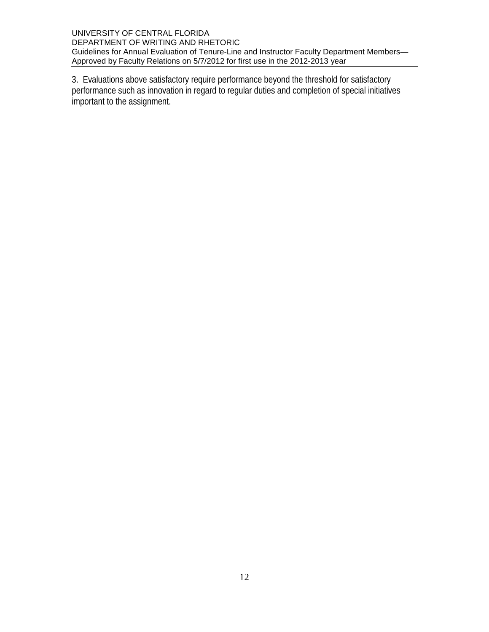3. Evaluations above satisfactory require performance beyond the threshold for satisfactory performance such as innovation in regard to regular duties and completion of special initiatives important to the assignment.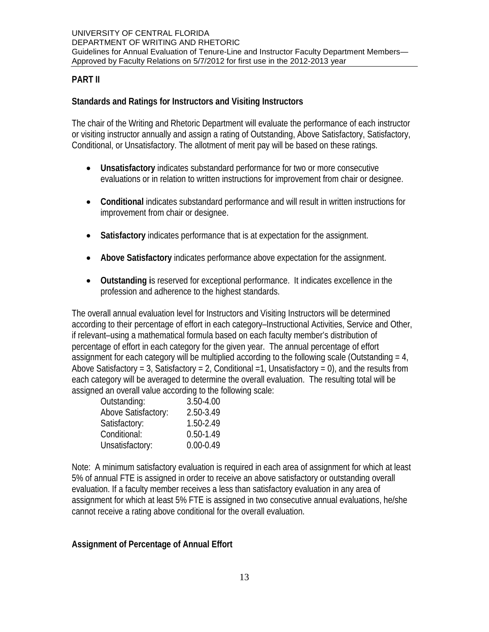# **PART II**

# **Standards and Ratings for Instructors and Visiting Instructors**

The chair of the Writing and Rhetoric Department will evaluate the performance of each instructor or visiting instructor annually and assign a rating of Outstanding, Above Satisfactory, Satisfactory, Conditional, or Unsatisfactory. The allotment of merit pay will be based on these ratings.

- **Unsatisfactory** indicates substandard performance for two or more consecutive evaluations or in relation to written instructions for improvement from chair or designee.
- **Conditional** indicates substandard performance and will result in written instructions for improvement from chair or designee.
- **Satisfactory** indicates performance that is at expectation for the assignment.
- **Above Satisfactory** indicates performance above expectation for the assignment.
- **Outstanding i**s reserved for exceptional performance. It indicates excellence in the profession and adherence to the highest standards.

The overall annual evaluation level for Instructors and Visiting Instructors will be determined according to their percentage of effort in each category–Instructional Activities, Service and Other, if relevant–using a mathematical formula based on each faculty member's distribution of percentage of effort in each category for the given year. The annual percentage of effort assignment for each category will be multiplied according to the following scale (Outstanding  $= 4$ , Above Satisfactory = 3, Satisfactory = 2, Conditional = 1, Unsatisfactory = 0), and the results from each category will be averaged to determine the overall evaluation. The resulting total will be assigned an overall value according to the following scale:

| Outstanding:        | 3.50-4.00     |
|---------------------|---------------|
| Above Satisfactory: | 2.50-3.49     |
| Satisfactory:       | 1.50-2.49     |
| Conditional:        | $0.50 - 1.49$ |
| Unsatisfactory:     | $0.00 - 0.49$ |

Note: A minimum satisfactory evaluation is required in each area of assignment for which at least 5% of annual FTE is assigned in order to receive an above satisfactory or outstanding overall evaluation. If a faculty member receives a less than satisfactory evaluation in any area of assignment for which at least 5% FTE is assigned in two consecutive annual evaluations, he/she cannot receive a rating above conditional for the overall evaluation.

# **Assignment of Percentage of Annual Effort**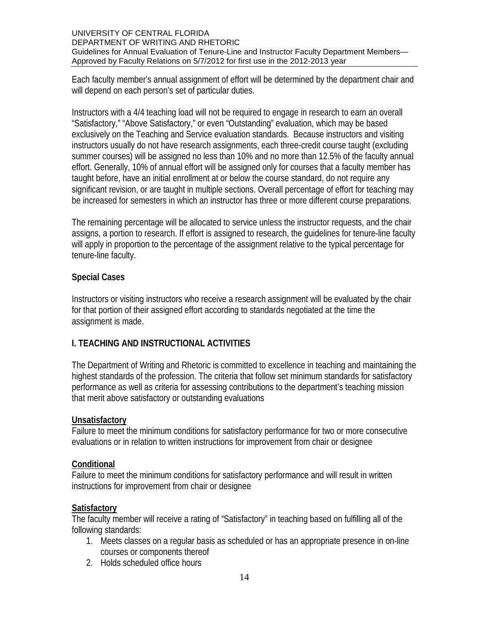Each faculty member's annual assignment of effort will be determined by the department chair and will depend on each person's set of particular duties.

Instructors with a 4/4 teaching load will not be required to engage in research to earn an overall "Satisfactory," "Above Satisfactory," or even "Outstanding" evaluation, which may be based exclusively on the Teaching and Service evaluation standards. Because instructors and visiting instructors usually do not have research assignments, each three-credit course taught (excluding summer courses) will be assigned no less than 10% and no more than 12.5% of the faculty annual effort. Generally, 10% of annual effort will be assigned only for courses that a faculty member has taught before, have an initial enrollment at or below the course standard, do not require any significant revision, or are taught in multiple sections. Overall percentage of effort for teaching may be increased for semesters in which an instructor has three or more different course preparations.

The remaining percentage will be allocated to service unless the instructor requests, and the chair assigns, a portion to research. If effort is assigned to research, the guidelines for tenure-line faculty will apply in proportion to the percentage of the assignment relative to the typical percentage for tenure-line faculty.

### **Special Cases**

Instructors or visiting instructors who receive a research assignment will be evaluated by the chair for that portion of their assigned effort according to standards negotiated at the time the assignment is made.

# **I. TEACHING AND INSTRUCTIONAL ACTIVITIES**

The Department of Writing and Rhetoric is committed to excellence in teaching and maintaining the highest standards of the profession. The criteria that follow set minimum standards for satisfactory performance as well as criteria for assessing contributions to the department's teaching mission that merit above satisfactory or outstanding evaluations

### **Unsatisfactory**

Failure to meet the minimum conditions for satisfactory performance for two or more consecutive evaluations or in relation to written instructions for improvement from chair or designee

### **Conditional**

Failure to meet the minimum conditions for satisfactory performance and will result in written instructions for improvement from chair or designee

# **Satisfactory**

The faculty member will receive a rating of "Satisfactory" in teaching based on fulfilling all of the following standards:

- 1. Meets classes on a regular basis as scheduled or has an appropriate presence in on-line courses or components thereof
- 2. Holds scheduled office hours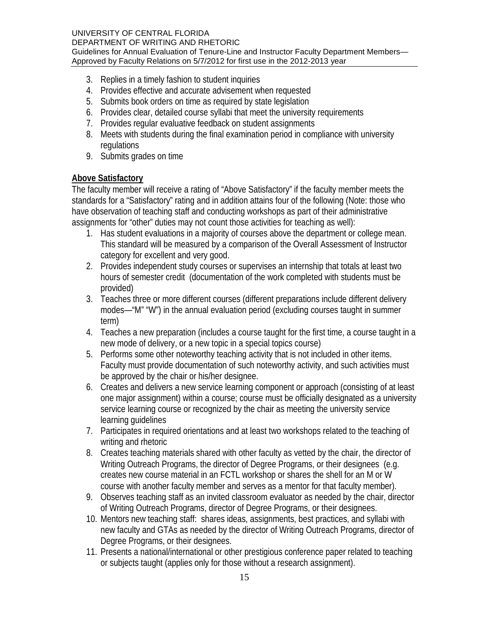- 3. Replies in a timely fashion to student inquiries
- 4. Provides effective and accurate advisement when requested
- 5. Submits book orders on time as required by state legislation
- 6. Provides clear, detailed course syllabi that meet the university requirements
- 7. Provides regular evaluative feedback on student assignments
- 8. Meets with students during the final examination period in compliance with university regulations
- 9. Submits grades on time

### **Above Satisfactory**

The faculty member will receive a rating of "Above Satisfactory" if the faculty member meets the standards for a "Satisfactory" rating and in addition attains four of the following (Note: those who have observation of teaching staff and conducting workshops as part of their administrative assignments for "other" duties may not count those activities for teaching as well):

- 1. Has student evaluations in a majority of courses above the department or college mean. This standard will be measured by a comparison of the Overall Assessment of Instructor category for excellent and very good.
- 2. Provides independent study courses or supervises an internship that totals at least two hours of semester credit (documentation of the work completed with students must be provided)
- 3. Teaches three or more different courses (different preparations include different delivery modes—"M" "W") in the annual evaluation period (excluding courses taught in summer term)
- 4. Teaches a new preparation (includes a course taught for the first time, a course taught in a new mode of delivery, or a new topic in a special topics course)
- 5. Performs some other noteworthy teaching activity that is not included in other items. Faculty must provide documentation of such noteworthy activity, and such activities must be approved by the chair or his/her designee.
- 6. Creates and delivers a new service learning component or approach (consisting of at least one major assignment) within a course; course must be officially designated as a university service learning course or recognized by the chair as meeting the university service learning guidelines
- 7. Participates in required orientations and at least two workshops related to the teaching of writing and rhetoric
- 8. Creates teaching materials shared with other faculty as vetted by the chair, the director of Writing Outreach Programs, the director of Degree Programs, or their designees (e.g. creates new course material in an FCTL workshop or shares the shell for an M or W course with another faculty member and serves as a mentor for that faculty member).
- 9. Observes teaching staff as an invited classroom evaluator as needed by the chair, director of Writing Outreach Programs, director of Degree Programs, or their designees.
- 10. Mentors new teaching staff: shares ideas, assignments, best practices, and syllabi with new faculty and GTAs as needed by the director of Writing Outreach Programs, director of Degree Programs, or their designees.
- 11. Presents a national/international or other prestigious conference paper related to teaching or subjects taught (applies only for those without a research assignment).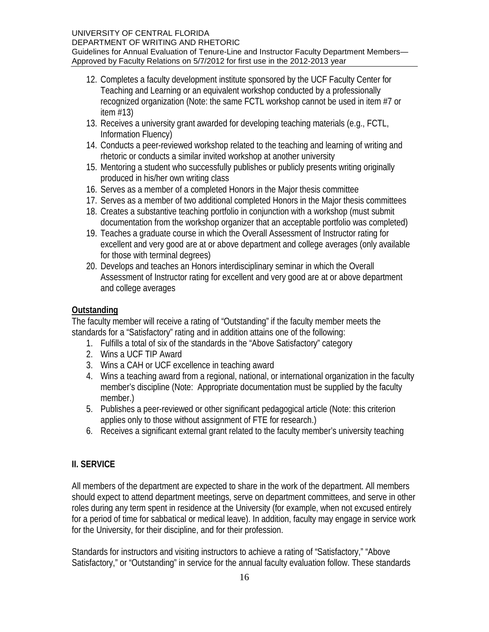- 12. Completes a faculty development institute sponsored by the UCF Faculty Center for Teaching and Learning or an equivalent workshop conducted by a professionally recognized organization (Note: the same FCTL workshop cannot be used in item #7 or item #13)
- 13. Receives a university grant awarded for developing teaching materials (e.g., FCTL, Information Fluency)
- 14. Conducts a peer-reviewed workshop related to the teaching and learning of writing and rhetoric or conducts a similar invited workshop at another university
- 15. Mentoring a student who successfully publishes or publicly presents writing originally produced in his/her own writing class
- 16. Serves as a member of a completed Honors in the Major thesis committee
- 17. Serves as a member of two additional completed Honors in the Major thesis committees
- 18. Creates a substantive teaching portfolio in conjunction with a workshop (must submit documentation from the workshop organizer that an acceptable portfolio was completed)
- 19. Teaches a graduate course in which the Overall Assessment of Instructor rating for excellent and very good are at or above department and college averages (only available for those with terminal degrees)
- 20. Develops and teaches an Honors interdisciplinary seminar in which the Overall Assessment of Instructor rating for excellent and very good are at or above department and college averages

# **Outstanding**

The faculty member will receive a rating of "Outstanding" if the faculty member meets the standards for a "Satisfactory" rating and in addition attains one of the following:

- 1. Fulfills a total of six of the standards in the "Above Satisfactory" category
- 2. Wins a UCF TIP Award
- 3. Wins a CAH or UCF excellence in teaching award
- 4. Wins a teaching award from a regional, national, or international organization in the faculty member's discipline (Note: Appropriate documentation must be supplied by the faculty member.)
- 5. Publishes a peer-reviewed or other significant pedagogical article (Note: this criterion applies only to those without assignment of FTE for research.)
- 6. Receives a significant external grant related to the faculty member's university teaching

# **II. SERVICE**

All members of the department are expected to share in the work of the department. All members should expect to attend department meetings, serve on department committees, and serve in other roles during any term spent in residence at the University (for example, when not excused entirely for a period of time for sabbatical or medical leave). In addition, faculty may engage in service work for the University, for their discipline, and for their profession.

Standards for instructors and visiting instructors to achieve a rating of "Satisfactory," "Above Satisfactory," or "Outstanding" in service for the annual faculty evaluation follow. These standards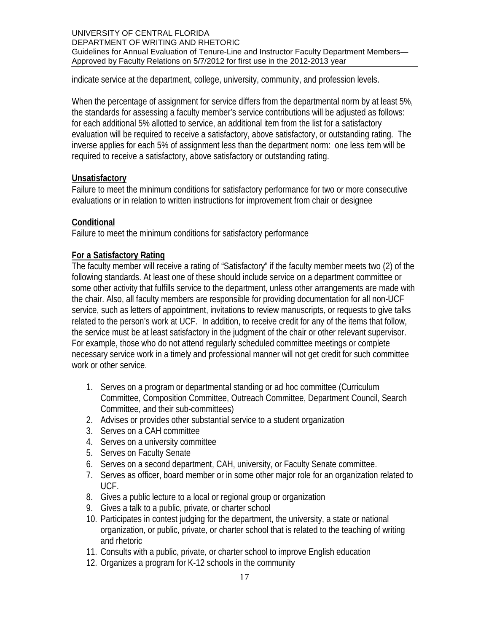indicate service at the department, college, university, community, and profession levels.

When the percentage of assignment for service differs from the departmental norm by at least 5%, the standards for assessing a faculty member's service contributions will be adjusted as follows: for each additional 5% allotted to service, an additional item from the list for a satisfactory evaluation will be required to receive a satisfactory, above satisfactory, or outstanding rating. The inverse applies for each 5% of assignment less than the department norm: one less item will be required to receive a satisfactory, above satisfactory or outstanding rating.

### **Unsatisfactory**

Failure to meet the minimum conditions for satisfactory performance for two or more consecutive evaluations or in relation to written instructions for improvement from chair or designee

### **Conditional**

Failure to meet the minimum conditions for satisfactory performance

### **For a Satisfactory Rating**

The faculty member will receive a rating of "Satisfactory" if the faculty member meets two (2) of the following standards. At least one of these should include service on a department committee or some other activity that fulfills service to the department, unless other arrangements are made with the chair. Also, all faculty members are responsible for providing documentation for all non-UCF service, such as letters of appointment, invitations to review manuscripts, or requests to give talks related to the person's work at UCF. In addition, to receive credit for any of the items that follow, the service must be at least satisfactory in the judgment of the chair or other relevant supervisor. For example, those who do not attend regularly scheduled committee meetings or complete necessary service work in a timely and professional manner will not get credit for such committee work or other service.

- 1. Serves on a program or departmental standing or ad hoc committee (Curriculum Committee, Composition Committee, Outreach Committee, Department Council, Search Committee, and their sub-committees)
- 2. Advises or provides other substantial service to a student organization
- 3. Serves on a CAH committee
- 4. Serves on a university committee
- 5. Serves on Faculty Senate
- 6. Serves on a second department, CAH, university, or Faculty Senate committee.
- 7. Serves as officer, board member or in some other major role for an organization related to UCF.
- 8. Gives a public lecture to a local or regional group or organization
- 9. Gives a talk to a public, private, or charter school
- 10. Participates in contest judging for the department, the university, a state or national organization, or public, private, or charter school that is related to the teaching of writing and rhetoric
- 11. Consults with a public, private, or charter school to improve English education
- 12. Organizes a program for K-12 schools in the community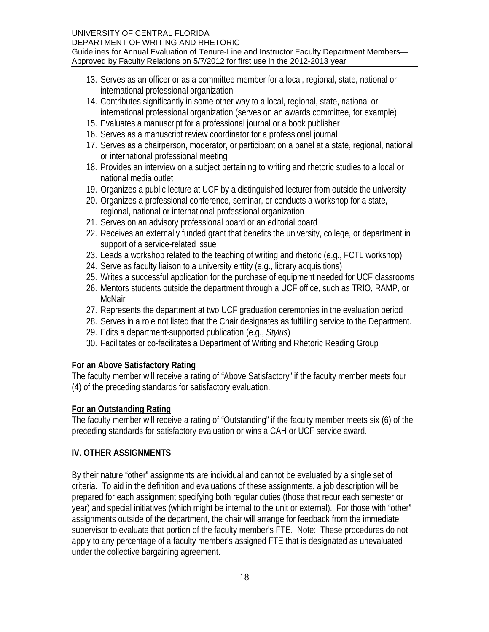- 13. Serves as an officer or as a committee member for a local, regional, state, national or international professional organization
- 14. Contributes significantly in some other way to a local, regional, state, national or international professional organization (serves on an awards committee, for example)
- 15. Evaluates a manuscript for a professional journal or a book publisher
- 16. Serves as a manuscript review coordinator for a professional journal
- 17. Serves as a chairperson, moderator, or participant on a panel at a state, regional, national or international professional meeting
- 18. Provides an interview on a subject pertaining to writing and rhetoric studies to a local or national media outlet
- 19. Organizes a public lecture at UCF by a distinguished lecturer from outside the university
- 20. Organizes a professional conference, seminar, or conducts a workshop for a state, regional, national or international professional organization
- 21. Serves on an advisory professional board or an editorial board
- 22. Receives an externally funded grant that benefits the university, college, or department in support of a service-related issue
- 23. Leads a workshop related to the teaching of writing and rhetoric (e.g., FCTL workshop)
- 24. Serve as faculty liaison to a university entity (e.g., library acquisitions)
- 25. Writes a successful application for the purchase of equipment needed for UCF classrooms
- 26. Mentors students outside the department through a UCF office, such as TRIO, RAMP, or **McNair**
- 27. Represents the department at two UCF graduation ceremonies in the evaluation period
- 28. Serves in a role not listed that the Chair designates as fulfilling service to the Department.
- 29. Edits a department-supported publication (e.g., *Stylus*)
- 30. Facilitates or co-facilitates a Department of Writing and Rhetoric Reading Group

# **For an Above Satisfactory Rating**

The faculty member will receive a rating of "Above Satisfactory" if the faculty member meets four (4) of the preceding standards for satisfactory evaluation.

# **For an Outstanding Rating**

The faculty member will receive a rating of "Outstanding" if the faculty member meets six (6) of the preceding standards for satisfactory evaluation or wins a CAH or UCF service award.

# **IV. OTHER ASSIGNMENTS**

By their nature "other" assignments are individual and cannot be evaluated by a single set of criteria. To aid in the definition and evaluations of these assignments, a job description will be prepared for each assignment specifying both regular duties (those that recur each semester or year) and special initiatives (which might be internal to the unit or external). For those with "other" assignments outside of the department, the chair will arrange for feedback from the immediate supervisor to evaluate that portion of the faculty member's FTE. Note: These procedures do not apply to any percentage of a faculty member's assigned FTE that is designated as unevaluated under the collective bargaining agreement.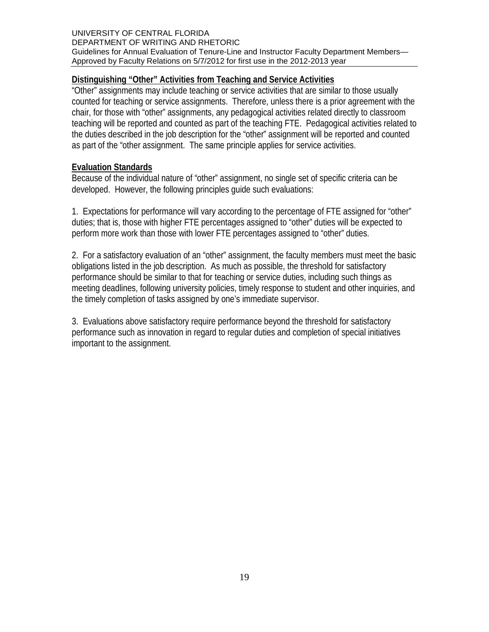### **Distinguishing "Other" Activities from Teaching and Service Activities**

"Other" assignments may include teaching or service activities that are similar to those usually counted for teaching or service assignments. Therefore, unless there is a prior agreement with the chair, for those with "other" assignments, any pedagogical activities related directly to classroom teaching will be reported and counted as part of the teaching FTE. Pedagogical activities related to the duties described in the job description for the "other" assignment will be reported and counted as part of the "other assignment. The same principle applies for service activities.

### **Evaluation Standards**

Because of the individual nature of "other" assignment, no single set of specific criteria can be developed. However, the following principles guide such evaluations:

1. Expectations for performance will vary according to the percentage of FTE assigned for "other" duties; that is, those with higher FTE percentages assigned to "other" duties will be expected to perform more work than those with lower FTE percentages assigned to "other" duties.

2. For a satisfactory evaluation of an "other" assignment, the faculty members must meet the basic obligations listed in the job description. As much as possible, the threshold for satisfactory performance should be similar to that for teaching or service duties, including such things as meeting deadlines, following university policies, timely response to student and other inquiries, and the timely completion of tasks assigned by one's immediate supervisor.

3. Evaluations above satisfactory require performance beyond the threshold for satisfactory performance such as innovation in regard to regular duties and completion of special initiatives important to the assignment.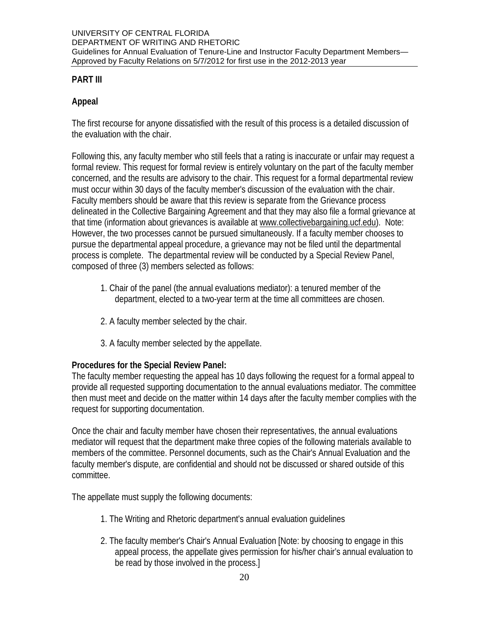# **PART III**

# **Appeal**

The first recourse for anyone dissatisfied with the result of this process is a detailed discussion of the evaluation with the chair.

Following this, any faculty member who still feels that a rating is inaccurate or unfair may request a formal review. This request for formal review is entirely voluntary on the part of the faculty member concerned, and the results are advisory to the chair. This request for a formal departmental review must occur within 30 days of the faculty member's discussion of the evaluation with the chair. Faculty members should be aware that this review is separate from the Grievance process delineated in the Collective Bargaining Agreement and that they may also file a formal grievance at that time (information about grievances is available at www.collectivebargaining.ucf.edu). Note: However, the two processes cannot be pursued simultaneously. If a faculty member chooses to pursue the departmental appeal procedure, a grievance may not be filed until the departmental process is complete. The departmental review will be conducted by a Special Review Panel, composed of three (3) members selected as follows:

- 1. Chair of the panel (the annual evaluations mediator): a tenured member of the department, elected to a two-year term at the time all committees are chosen.
- 2. A faculty member selected by the chair.
- 3. A faculty member selected by the appellate.

# **Procedures for the Special Review Panel:**

The faculty member requesting the appeal has 10 days following the request for a formal appeal to provide all requested supporting documentation to the annual evaluations mediator. The committee then must meet and decide on the matter within 14 days after the faculty member complies with the request for supporting documentation.

Once the chair and faculty member have chosen their representatives, the annual evaluations mediator will request that the department make three copies of the following materials available to members of the committee. Personnel documents, such as the Chair's Annual Evaluation and the faculty member's dispute, are confidential and should not be discussed or shared outside of this committee.

The appellate must supply the following documents:

- 1. The Writing and Rhetoric department's annual evaluation guidelines
- 2. The faculty member's Chair's Annual Evaluation [Note: by choosing to engage in this appeal process, the appellate gives permission for his/her chair's annual evaluation to be read by those involved in the process.]